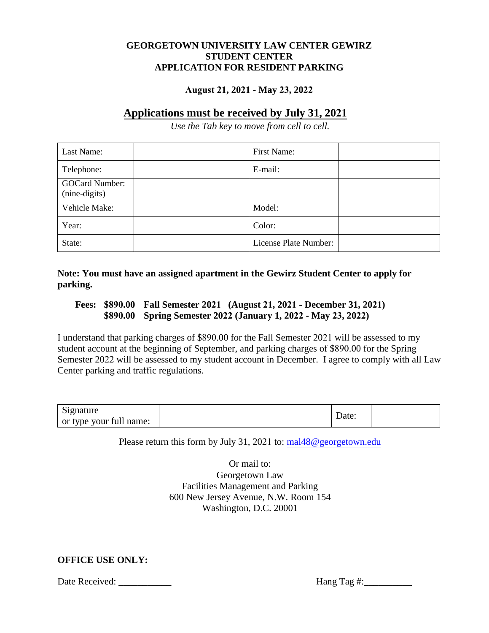## **GEORGETOWN UNIVERSITY LAW CENTER GEWIRZ STUDENT CENTER APPLICATION FOR RESIDENT PARKING**

## **August 21, 2021 - May 23, 2022**

# **Applications must be received by July 31, 2021**

*Use the Tab key to move from cell to cell.*

| Last Name:                             | First Name:           |  |
|----------------------------------------|-----------------------|--|
| Telephone:                             | E-mail:               |  |
| <b>GOCard Number:</b><br>(nine-digits) |                       |  |
| Vehicle Make:                          | Model:                |  |
| Year:                                  | Color:                |  |
| State:                                 | License Plate Number: |  |

**Note: You must have an assigned apartment in the Gewirz Student Center to apply for parking.**

### **Fees: \$890.00 Fall Semester 2021 (August 21, 2021 - December 31, 2021) \$890.00 Spring Semester 2022 (January 1, 2022 - May 23, 2022)**

I understand that parking charges of \$890.00 for the Fall Semester 2021 will be assessed to my student account at the beginning of September, and parking charges of \$890.00 for the Spring Semester 2022 will be assessed to my student account in December. I agree to comply with all Law Center parking and traffic regulations.

| $\sim$<br>Signature     | Date: |  |
|-------------------------|-------|--|
| or type your full name: |       |  |

Please return this form by July 31, 2021 to: [mal48@georgetown.edu](mailto:mal48@georgetown.edu)

Or mail to: Georgetown Law Facilities Management and Parking 600 New Jersey Avenue, N.W. Room 154 Washington, D.C. 20001

## **OFFICE USE ONLY:**

Date Received: \_\_\_\_\_\_\_\_\_\_\_ Hang Tag #:\_\_\_\_\_\_\_\_\_\_